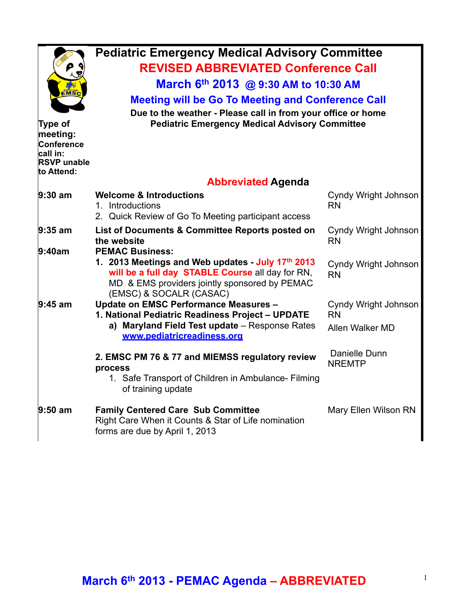| ρ<br><b>EMSC</b><br>Type of<br>meeting:<br>Conference<br>call in:<br><b>RSVP</b> unable<br>to Attend: | <b>Pediatric Emergency Medical Advisory Committee</b><br><b>REVISED ABBREVIATED Conference Call</b><br>March 6th 2013 @ 9:30 AM to 10:30 AM<br><b>Meeting will be Go To Meeting and Conference Call</b><br>Due to the weather - Please call in from your office or home<br><b>Pediatric Emergency Medical Advisory Committee</b> |                                   |
|-------------------------------------------------------------------------------------------------------|----------------------------------------------------------------------------------------------------------------------------------------------------------------------------------------------------------------------------------------------------------------------------------------------------------------------------------|-----------------------------------|
|                                                                                                       | <b>Abbreviated Agenda</b>                                                                                                                                                                                                                                                                                                        |                                   |
| $9:30$ am                                                                                             | <b>Welcome &amp; Introductions</b><br>1. Introductions<br>2. Quick Review of Go To Meeting participant access                                                                                                                                                                                                                    | Cyndy Wright Johnson<br><b>RN</b> |
| $9:35$ am<br>9:40am                                                                                   | List of Documents & Committee Reports posted on<br>the website<br><b>PEMAC Business:</b>                                                                                                                                                                                                                                         | Cyndy Wright Johnson<br><b>RN</b> |
|                                                                                                       | 1. 2013 Meetings and Web updates - July 17th 2013<br>will be a full day STABLE Course all day for RN,<br>MD & EMS providers jointly sponsored by PEMAC<br>(EMSC) & SOCALR (CASAC)                                                                                                                                                | Cyndy Wright Johnson<br><b>RN</b> |
| $9:45$ am                                                                                             | Update on EMSC Performance Measures -                                                                                                                                                                                                                                                                                            | Cyndy Wright Johnson              |
|                                                                                                       | 1. National Pediatric Readiness Project - UPDATE<br>a) Maryland Field Test update - Response Rates<br>www.pediatricreadiness.org                                                                                                                                                                                                 | <b>RN</b><br>Allen Walker MD      |
|                                                                                                       | 2. EMSC PM 76 & 77 and MIEMSS regulatory review<br>process<br>1. Safe Transport of Children in Ambulance- Filming<br>of training update                                                                                                                                                                                          | Danielle Dunn<br><b>NREMTP</b>    |
| $9:50$ am                                                                                             | <b>Family Centered Care Sub Committee</b><br>Right Care When it Counts & Star of Life nomination<br>forms are due by April 1, 2013                                                                                                                                                                                               | Mary Ellen Wilson RN              |